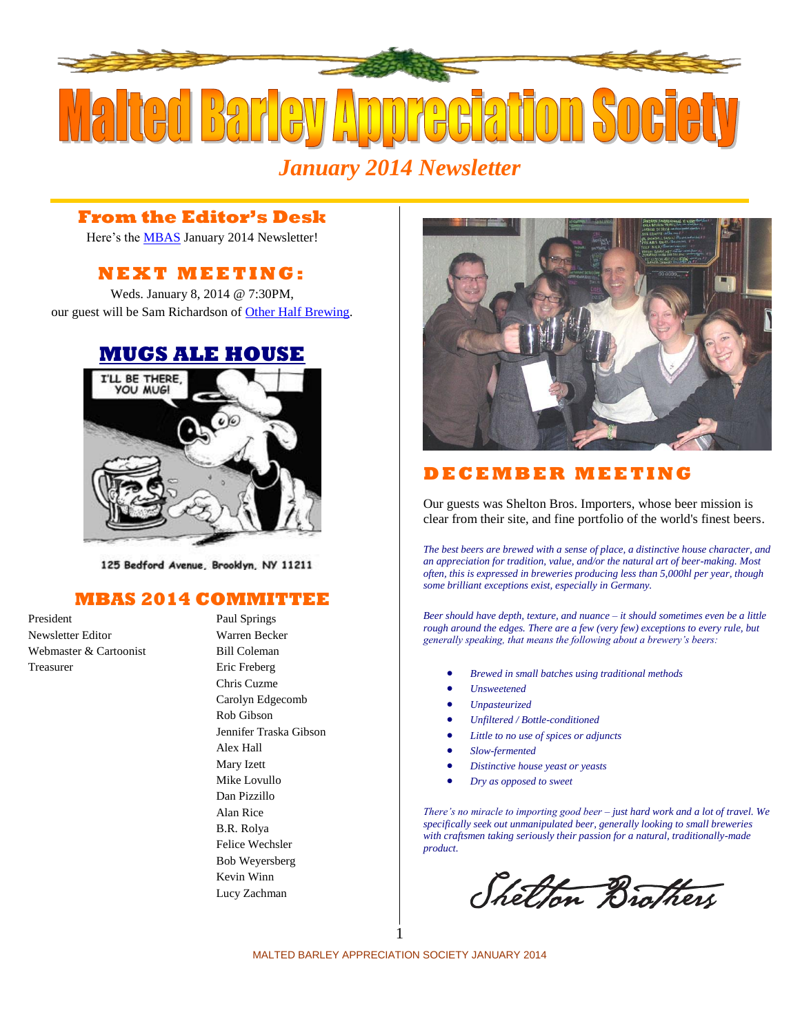

### **From the Editor's Desk**

Here's the **MBAS** January 2014 Newsletter!

# **N E X T M E ETI N G :**

Weds. January 8, 2014 @ 7:30PM, our guest will be Sam Richardson of [Other Half Brewing.](http://otherhalfbrewing.com/)

## **[MUGS ALE HOUSE](http://www.mugsalehouse.com/)**



125 Bedford Avenue, Brooklyn, NY 11211

#### **MBAS 2014 COMMITTEE**

President Paul Springs Newsletter Editor Warren Becker Webmaster & Cartoonist Bill Coleman Treasurer Eric Freberg

Chris Cuzme Carolyn Edgecomb Rob Gibson Jennifer Traska Gibson Alex Hall Mary Izett Mike Lovullo Dan Pizzillo Alan Rice B.R. Rolya Felice Wechsler Bob Weyersberg Kevin Winn Lucy Zachman



## **D E C E MB E R M EE T I N G**

Our guests was [Shelton Bros. Importers,](http://www.sheltonbrothers.com/) whose beer mission is clear from their site, and fine portfolio of the world's finest beers.

*The best beers are brewed with a sense of place, a distinctive house character, and an appreciation for tradition, value, and/or the natural art of beer-making. Most often, this is expressed in breweries producing less than 5,000hl per year, though some brilliant exceptions exist, especially in Germany.*

*Beer should have depth, texture, and nuance – it should sometimes even be a little rough around the edges. There are a few (very few) exceptions to every rule, but generally speaking, that means the following about a brewery's beers:*

- *Brewed in small batches using traditional methods*
- *Unsweetened*
- *Unpasteurized*
- *Unfiltered / Bottle-conditioned*
- *Little to no use of spices or adjuncts*
- *Slow-fermented*
- *Distinctive house yeast or yeasts*
- *Dry as opposed to sweet*

*There's no miracle to importing good beer – just hard work and a lot of travel. We specifically seek out unmanipulated beer, generally looking to small breweries with craftsmen taking seriously their passion for a natural, traditionally-made product.*

Shelton Brothers

MALTED BARLEY APPRECIATION SOCIETY JANUARY 2014 1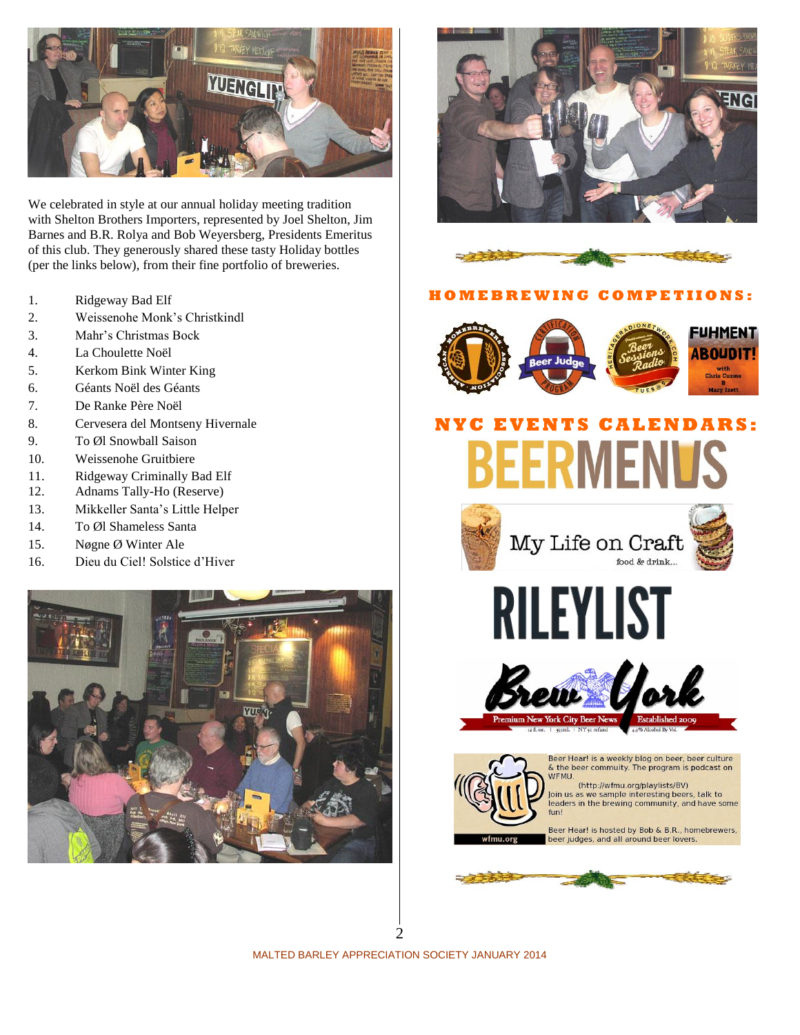

We celebrated in style at our annual holiday meeting tradition with Shelton Brothers Importers, represented by Joel Shelton, Jim Barnes and B.R. Rolya and Bob Weyersberg, Presidents Emeritus of this club. They generously shared these tasty Holiday bottles (per the links below), from their fine portfolio of breweries.

- 1. [Ridgeway Bad Elf](http://www.sheltonbrothers.com/beers/bad-elf/)
- 2. [Weissenohe Monk's Christkindl](http://www.sheltonbrothers.com/beers/weissenohe-monks-christkindl/)
- 3. [Mahr's Christmas Bock](http://www.sheltonbrothers.com/beers/mahrs-christmas-bock/)
- 4. [La Choulette Noël](http://www.sheltonbrothers.com/beers/la-choulette-noel/)
- 5. [Kerkom Bink Winter King](http://www.sheltonbrothers.com/beers/bink-winter-king/)
- 6. [Géants Noël des Géants](http://www.sheltonbrothers.com/beers/geants-noel-des-geants/)
- 7. [De Ranke Père Noël](http://www.sheltonbrothers.com/beers/de-ranke-pere-noel/)
- 8. [Cervesera del Montseny Hivernale](http://www.sheltonbrothers.com/beers/cervesera-del-montseny-hivernale/)
- 9. [To Øl Snowball Saison](http://www.sheltonbrothers.com/beers/snowball-saison/)
- 10. [Weissenohe Gruitbiere](http://www.klosterbrauerei-weissenohe.de/)
- 11. [Ridgeway Criminally Bad Elf](http://www.sheltonbrothers.com/beers/criminally-bad-elf/)
- 12. [Adnams Tally-Ho \(Reserve\)](http://www.sheltonbrothers.com/beers/tally-ho-reserve/)
- 13. [Mikkeller Santa's Little Helper](http://www.sheltonbrothers.com/beers/mikkeller-santas-little-helper-2/)
- 14. [To Øl Shameless Santa](http://www.sheltonbrothers.com/beers/to-ol-shameless-santa/)
- 15. [Nøgne Ø Winter Ale](http://www.sheltonbrothers.com/beers/nogne-o-winter-ale/)
- 16. [Dieu du Ciel! Solstice d'Hiver](http://www.sheltonbrothers.com/beers/dieu-du-ciel-solstice-dhiver/)







#### **H O M E B R E W I N G C OMP E T I I O N S :**



# **N Y C E V E N TS C ALE N D A R S:** BEERMENU









Beer Hear! is a weekly blog on beer, beer culture & the beer commuity. The program is podcast on WFMU.

(http://wfmu.org/playlists/BV)<br>Join us as we sample interesting beers, talk to leaders in the brewing community, and have some fun!

Beer Hear! is hosted by Bob & B.R., homebrewers,<br>beer judges, and all around beer lovers.



MALTED BARLEY APPRECIATION SOCIETY JANUARY 2014